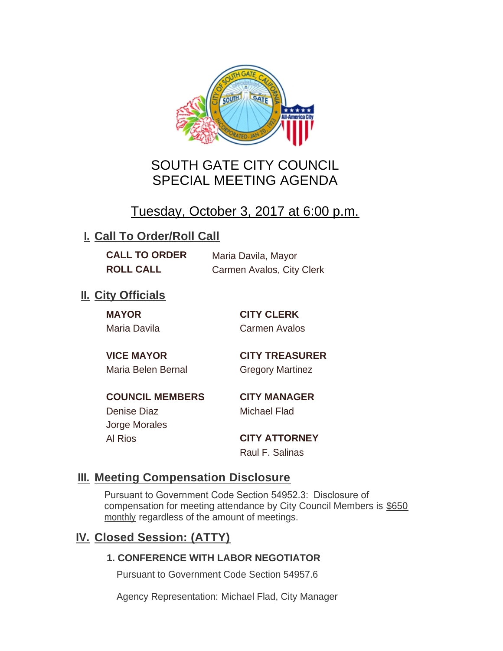

# SOUTH GATE CITY COUNCIL SPECIAL MEETING AGENDA

# Tuesday, October 3, 2017 at 6:00 p.m.

## **I. Call To Order/Roll Call**

**CALL TO ORDER** Maria Davila, Mayor **ROLL CALL** Carmen Avalos, City Clerk

## **II.** City Officials

**MAYOR CITY CLERK**

Maria Davila Carmen Avalos

Maria Belen Bernal **Gregory Martinez** 

**VICE MAYOR CITY TREASURER**

**COUNCIL MEMBERS CITY MANAGER** Denise Diaz Michael Flad

Jorge Morales

Al Rios **CITY ATTORNEY** Raul F. Salinas

### **Meeting Compensation Disclosure III.**

Pursuant to Government Code Section 54952.3: Disclosure of compensation for meeting attendance by City Council Members is \$650 monthly regardless of the amount of meetings.

## **Closed Session: (ATTY) IV.**

### **1. CONFERENCE WITH LABOR NEGOTIATOR**

Pursuant to Government Code Section 54957.6

Agency Representation: Michael Flad, City Manager